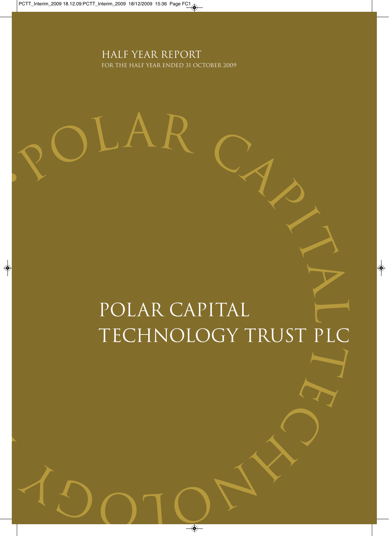Half Year report for the half year ended 31 october 2009

ΑF

 $\mathbf{L}$ 

# Polar Capital Technology Trust PLC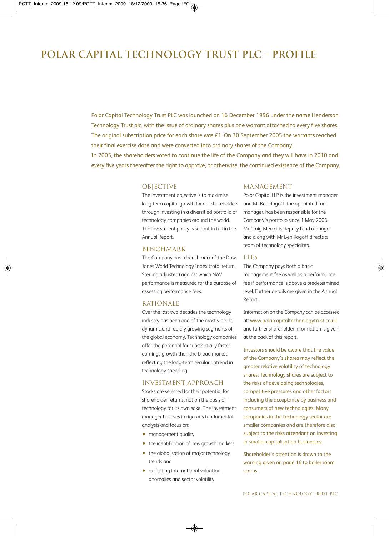# **Polar Capital Technology Trust Plc – ProfilE**

Polar Capital Technology Trust PLC was launched on 16 December 1996 under the name Henderson Technology Trust plc, with the issue of ordinary shares plus one warrant attached to every five shares. The original subscription price for each share was £1. On 30 September 2005 the warrants reached their final exercise date and were converted into ordinary shares of the Company. In 2005, the shareholders voted to continue the life of the Company and they will have in 2010 and every five years thereafter the right to approve, or otherwise, the continued existence of the Company.

### **OBJECTIVE**

The investment objective is to maximise long-term capital growth for our shareholders through investing in a diversified portfolio of technology companies around the world. The investment policy is set out in full in the Annual Report.

### BENCHMARK

The Company has a benchmark of the Dow Jones World Technology Index (total return, Sterling adjusted) against which NAV performance is measured for the purpose of assessing performance fees.

#### RATIONALE

Over the last two decades the technology industry has been one of the most vibrant, dynamic and rapidly growing segments of the global economy. Technology companies offer the potential for substantially faster earnings growth than the broad market, reflecting the long-term secular uptrend in technology spending.

#### INVESTMENT APPROACH

Stocks are selected for their potential for shareholder returns, not on the basis of technology for its own sake. The investment manager believes in rigorous fundamental analysis and focus on:

- management quality
- the identification of new growth markets
- the globalisation of major technology trends and
- exploiting international valuation anomalies and sector volatility

### MANAGEMENT

Polar Capital LLP is the investment manager and Mr Ben Rogoff, the appointed fund manager, has been responsible for the Company's portfolio since 1 May 2006. Mr Craig Mercer is deputy fund manager and along with Mr Ben Rogoff directs a team of technology specialists.

### FEES

The Company pays both a basic management fee as well as a performance fee if performance is above a predetermined level. Further details are given in the Annual Report.

Information on the Company can be accessed at: www.polarcapitaltechnologytrust.co.uk and further shareholder information is given at the back of this report.

Investors should be aware that the value of the Company's shares may reflect the greater relative volatility of technology shares. Technology shares are subject to the risks of developing technologies, competitive pressures and other factors including the acceptance by business and consumers of new technologies. Many companies in the technology sector are smaller companies and are therefore also subject to the risks attendant on investing in smaller capitalisation businesses.

Shareholder's attention is drawn to the warning given on page 16 to boiler room scams.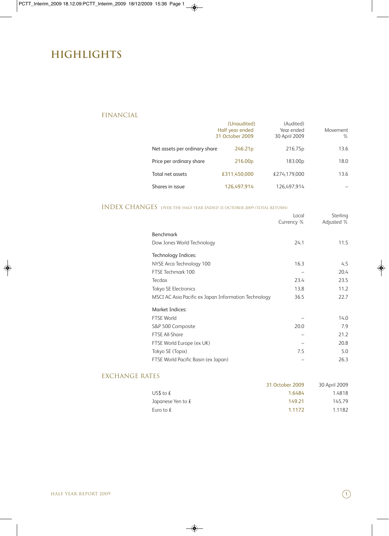# **Highlights**

### FINANCIAL

|                               | (Unaudited)<br>Half year ended<br>31 October 2009 | (Audited)<br>Year ended<br>30 April 2009 | Movement<br>$\%$ |
|-------------------------------|---------------------------------------------------|------------------------------------------|------------------|
| Net assets per ordinary share | 246.21 <sub>p</sub>                               | 216.75p                                  | 13.6             |
| Price per ordinary share      | 216.00 <sub>p</sub>                               | 183.00 <sub>p</sub>                      | 18.0             |
| Total net assets              | £311.450.000                                      | £274.179.000                             | 13.6             |
| Shares in issue               | 126.497.914                                       | 126.497.914                              |                  |

### INDEX CHANGES over the half year ended <sup>31</sup> october <sup>2009</sup> (Total Return)

|                                                      | Local<br>Currency % | Sterling<br>Adjusted % |
|------------------------------------------------------|---------------------|------------------------|
| Benchmark                                            |                     |                        |
| Dow Jones World Technology                           | 24.1                | 11.5                   |
| Technology Indices:                                  |                     |                        |
| NYSE Arca Technology 100                             | 16.3                | 4.5                    |
| FTSE Techmark 100                                    |                     | 20.4                   |
| <b>Tecdax</b>                                        | 23.4                | 23.5                   |
| <b>Tokyo SE Electronics</b>                          | 13.8                | 11.2                   |
| MSCI AC Asia Pacific ex Japan Information Technology | 36.5                | 22.7                   |
| <b>Market Indices:</b>                               |                     |                        |
| <b>FTSE World</b>                                    |                     | 14.0                   |
| S&P 500 Composite                                    | 20.0                | 7.9                    |
| <b>FTSE All-Share</b>                                |                     | 21.2                   |
| FTSE World Europe (ex UK)                            |                     | 20.8                   |
| Tokyo SE (Topix)                                     | 7.5                 | 5.0                    |
| FTSE World Pacific Basin (ex Japan)                  |                     | 26.3                   |

### EXCHANGE RATES

|                     | 31 October 2009 | 30 April 2009 |
|---------------------|-----------------|---------------|
| US\$ to $f$         | 1.6484          | 1.4818        |
| Japanese Yen to $f$ | 149.21          | 145.79        |
| Euro to $f$         | 1.1172          | 1.1182        |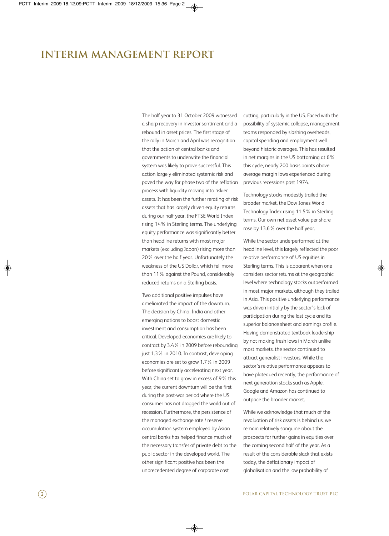# **Interim Management Report**

The half year to 31 October 2009 witnessed a sharp recovery in investor sentiment and a rebound in asset prices. The first stage of the rally in March and April was recognition that the action of central banks and governments to underwrite the financial system was likely to prove successful. This action largely eliminated systemic risk and paved the way for phase two of the reflation process with liquidity moving into riskier assets. It has been the further rerating of risk assets that has largely driven equity returns during our half year, the FTSE World Index rising 14% in Sterling terms. The underlying equity performance was significantly better than headline returns with most major markets (excluding Japan) rising more than 20% over the half year. Unfortunately the weakness of the US Dollar, which fell more than 11% against the Pound, considerably reduced returns on a Sterling basis.

Two additional positive impulses have ameliorated the impact of the downturn. The decision by China, India and other emerging nations to boost domestic investment and consumption has been critical. Developed economies are likely to contract by 3.4% in 2009 before rebounding just 1.3% in 2010. In contrast, developing economies are set to grow 1.7% in 2009 before significantly accelerating next year. With China set to grow in excess of 9% this year, the current downturn will be the first during the post-war period where the US consumer has not dragged the world out of recession. Furthermore, the persistence of the managed exchange rate / reserve accumulation system employed by Asian central banks has helped finance much of the necessary transfer of private debt to the public sector in the developed world. The other significant positive has been the unprecedented degree of corporate cost

cutting, particularly in the US. Faced with the possibility of systemic collapse, management teams responded by slashing overheads, capital spending and employment well beyond historic averages. This has resulted in net margins in the US bottoming at 6% this cycle, nearly 200 basis points above average margin lows experienced during previous recessions post 1974.

Technology stocks modestly trailed the broader market, the Dow Jones World Technology Index rising 11.5% in Sterling terms. Our own net asset value per share rose by 13.6% over the half year.

While the sector underperformed at the headline level, this largely reflected the poor relative performance of US equities in Sterling terms. This is apparent when one considers sector returns at the geographic level where technology stocks outperformed in most major markets, although they trailed in Asia. This positive underlying performance was driven initially by the sector's lack of participation during the last cycle and its superior balance sheet and earnings profile. Having demonstrated textbook leadership by not making fresh lows in March unlike most markets, the sector continued to attract generalist investors. While the sector's relative performance appears to have plateaued recently, the performance of next generation stocks such as Apple, Google and Amazon has continued to outpace the broader market.

While we acknowledge that much of the revaluation of risk assets is behind us, we remain relatively sanguine about the prospects for further gains in equities over the coming second half of the year. As a result of the considerable slack that exists today, the deflationary impact of globalisation and the low probability of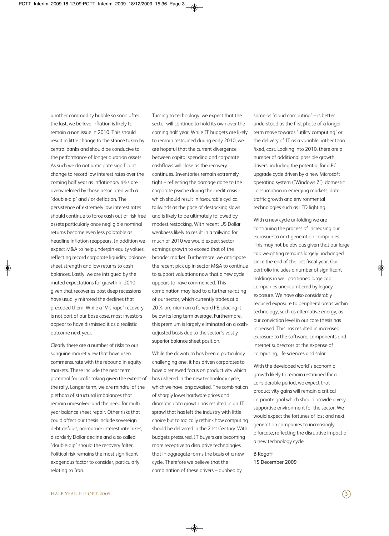another commodity bubble so soon after the last, we believe inflation is likely to remain a non issue in 2010. This should result in little change to the stance taken by central banks and should be conducive to the performance of longer duration assets. As such we do not anticipate significant change to record low interest rates over the coming half year as inflationary risks are overwhelmed by those associated with a 'double-dip' and / or deflation. The persistence of extremely low interest rates should continue to force cash out of risk free assets particularly once negligible nominal returns become even less palatable as headline inflation reappears. In addition we expect M&A to help underpin equity values, reflecting record corporate liquidity, balance sheet strength and low returns to cash balances. Lastly, we are intrigued by the muted expectations for growth in 2010 given that recoveries post deep recessions have usually mirrored the declines that preceded them. While a 'V-shape' recovery is not part of our base case, most investors appear to have dismissed it as a realistic outcome next year.

Clearly there are a number of risks to our sanguine market view that have risen commensurate with the rebound in equity markets. These include the near term potential for profit taking given the extent of the rally. Longer term, we are mindful of the plethora of structural imbalances that remain unresolved and the need for multi year balance sheet repair. Other risks that could affect our thesis include sovereign debt default, premature interest rate hikes, disorderly Dollar decline and a so called 'double-dip' should the recovery falter. Political risk remains the most significant exogenous factor to consider, particularly relating to Iran.

Turning to technology, we expect that the sector will continue to hold its own over the coming half year. While IT budgets are likely to remain restrained during early 2010, we are hopeful that the current divergence between capital spending and corporate cashflows will close as the recovery continues. Inventories remain extremely tight – reflecting the damage done to the corporate psyche during the credit crisis which should result in favourable cyclical tailwinds as the pace of destocking slows and is likely to be ultimately followed by modest restocking. With recent US Dollar weakness likely to result in a tailwind for much of 2010 we would expect sector earnings growth to exceed that of the broader market. Furthermore, we anticipate the recent pick up in sector M&A to continue to support valuations now that a new cycle appears to have commenced. This combination may lead to a further re-rating of our sector, which currently trades at a 20% premium on a forward PE, placing it below its long term average. Furthermore, this premium is largely eliminated on a cashadjusted basis due to the sector's vastly superior balance sheet position.

While the downturn has been a particularly challenging one, it has driven corporates to have a renewed focus on productivity which has ushered in the new technology cycle, which we have long awaited. The combination of sharply lower hardware prices and dramatic data growth has resulted in an IT sprawl that has left the industry with little choice but to radically rethink how computing should be delivered in the 21st Century. With budgets pressured, IT buyers are becoming more receptive to disruptive technologies that in aggregate forms the basis of a new cycle. Therefore we believe that the combination of these drivers – dubbed by

some as 'cloud computing' – is better understood as the first phase of a longer term move towards 'utility computing' or the delivery of IT as a variable, rather than fixed, cost. Looking into 2010, there are a number of additional possible growth drivers, including the potential for a PC upgrade cycle driven by a new Microsoft operating system ('Windows 7'), domestic consumption in emerging markets, data traffic growth and environmental technologies such as LED lighting.

With a new cycle unfolding we are continuing the process of increasing our exposure to next generation companies. This may not be obvious given that our large cap weighting remains largely unchanged since the end of the last fiscal year. Our portfolio includes a number of significant holdings in well positioned large cap companies unencumbered by legacy exposure. We have also considerably reduced exposure to peripheral areas within technology, such as alternative energy, as our conviction level in our core thesis has increased. This has resulted in increased exposure to the software, components and internet subsectors at the expense of computing, life sciences and solar.

With the developed world's economic growth likely to remain restrained for a considerable period, we expect that productivity gains will remain a critical corporate goal which should provide a very supportive environment for the sector. We would expect the fortunes of last and next generation companies to increasingly bifurcate, reflecting the disruptive impact of a new technology cycle.

B Rogoff 15 December 2009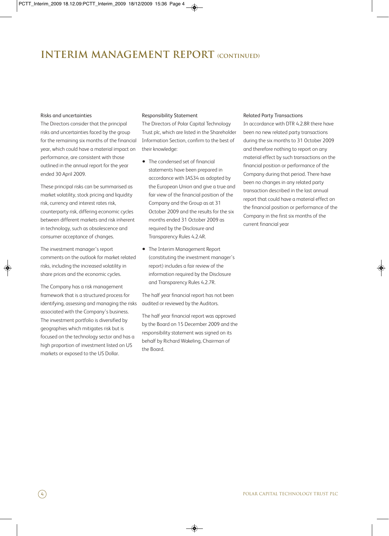# **Interim Management Report (continued)**

#### Risks and uncertainties

The Directors consider that the principal risks and uncertainties faced by the group for the remaining six months of the financial year, which could have a material impact on performance, are consistent with those outlined in the annual report for the year ended 30 April 2009.

These principal risks can be summarised as market volatility, stock pricing and liquidity risk, currency and interest rates risk, counterparty risk, differing economic cycles between different markets and risk inherent in technology, such as obsolescence and consumer acceptance of changes.

The investment manager's report comments on the outlook for market related risks, including the increased volatility in share prices and the economic cycles.

The Company has a risk management framework that is a structured process for identifying, assessing and managing the risks associated with the Company's business. The investment portfolio is diversified by geographies which mitigates risk but is focused on the technology sector and has a high proportion of investment listed on US markets or exposed to the US Dollar.

#### Responsibility Statement

The Directors of Polar Capital Technology Trust plc, which are listed in the Shareholder Information Section, confirm to the best of their knowledge:

- The condensed set of financial statements have been prepared in accordance with IAS34 as adopted by the European Union and give a true and fair view of the financial position of the Company and the Group as at 31 October 2009 and the results for the six months ended 31 October 2009 as required by the Disclosure and Transparency Rules 4.2.4R.
- The Interim Management Report (constituting the investment manager's report) includes a fair review of the information required by the Disclosure and Transparency Rules 4.2.7R.

The half year financial report has not been audited or reviewed by the Auditors.

The half year financial report was approved by the Board on 15 December 2009 and the responsibility statement was signed on its behalf by Richard Wakeling, Chairman of the Board.

#### Related Party Transactions

In accordance with DTR 4.2.8R there have been no new related party transactions during the six months to 31 October 2009 and therefore nothing to report on any material effect by such transactions on the financial position or performance of the Company during that period. There have been no changes in any related party transaction described in the last annual report that could have a material effect on the financial position or performance of the Company in the first six months of the current financial year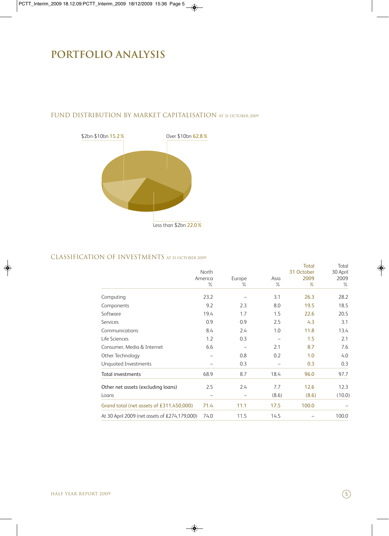# **PORTFOLIO ANALYSIS**



## FUND DISTRIBUTION BY MARKET CAPITALISATION at <sup>31</sup> October <sup>2009</sup>

### CLASSIFICATION OF INVESTMENTS at <sup>31</sup> october <sup>2009</sup>

|                                               |         |        |       | <b>Total</b> | Total    |
|-----------------------------------------------|---------|--------|-------|--------------|----------|
|                                               | North   |        |       | 31 October   | 30 April |
|                                               | America | Europe | Asia  | 2009         | 2009     |
|                                               | $\%$    | $\%$   | $\%$  | %            | $\%$     |
| Computing                                     | 23.2    |        | 3.1   | 26.3         | 28.2     |
| Components                                    | 9.2     | 2.3    | 8.0   | 19.5         | 18.5     |
| Software                                      | 19.4    | 1.7    | 1.5   | 22.6         | 20.5     |
| <b>Services</b>                               | 0.9     | 0.9    | 2.5   | 4.3          | 3.1      |
| Communications                                | 8.4     | 2.4    | 1.0   | 11.8         | 13.4     |
| Life Sciences                                 | 1.2     | 0.3    |       | 1.5          | 2.1      |
| Consumer, Media & Internet                    | 6.6     |        | 2.1   | 8.7          | 7.6      |
| Other Technology                              |         | 0.8    | 0.2   | 1.0          | 4.0      |
| Unquoted Investments                          |         | 0.3    |       | 0.3          | 0.3      |
| <b>Total investments</b>                      | 68.9    | 8.7    | 18.4  | 96.0         | 97.7     |
| Other net assets (excluding loans)            | 2.5     | 2.4    | 7.7   | 12.6         | 12.3     |
| Loans                                         |         |        | (8.6) | (8.6)        | (10.0)   |
| Grand total (net assets of £311,450,000)      | 71.4    | 11.1   | 17.5  | 100.0        |          |
| At 30 April 2009 (net assets of £274,179,000) | 74.0    | 11.5   | 14.5  |              | 100.0    |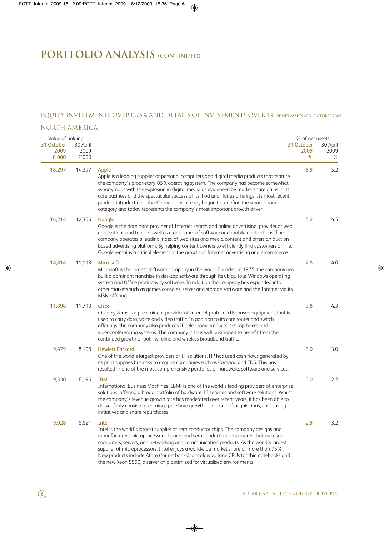# **PORTFOLIO ANALYSIS (continued)**

### EQUITY INVESTMENTS OVER 0.75% AND DETAILS OF INVESTMENTS OVER 1% of net assets at <sup>31</sup> October <sup>2009</sup>

### NORTH AMERICA

| Value of holding            |                           |                                                                                                                                                                                                                                                                                                                                                                                                                                                                                                                                                     | % of net assets         |                       |
|-----------------------------|---------------------------|-----------------------------------------------------------------------------------------------------------------------------------------------------------------------------------------------------------------------------------------------------------------------------------------------------------------------------------------------------------------------------------------------------------------------------------------------------------------------------------------------------------------------------------------------------|-------------------------|-----------------------|
| 31 October<br>2009<br>£'000 | 30 April<br>2009<br>£'000 |                                                                                                                                                                                                                                                                                                                                                                                                                                                                                                                                                     | 31 October<br>2009<br>% | 30 April<br>2009<br>℅ |
| 18,297                      | 14,397                    | Apple<br>Apple is a leading supplier of personal computers and digital media products that feature<br>the company's proprietary OS X operating system. The company has become somewhat<br>synonymous with the explosion in digital media as evidenced by market share gains in its<br>core business and the spectacular success of its iPod and iTunes offerings. Its most recent<br>product introduction - the iPhone - has already begun to redefine the smart phone<br>category and today represents the company's most important growth driver. | 5.9                     | 5.2                   |
| 16,214                      | 12,356                    | Google<br>Google is the dominant provider of Internet search and online advertising, provider of web<br>applications and tools, as well as a developer of software and mobile applications. The<br>company operates a leading index of web sites and media content and offers an auction<br>based advertising platform. By helping content owners to efficiently find customers online,<br>Google remains a critical element in the growth of Internet advertising and e-commerce.                                                                  | 5.2                     | 4.5                   |
| 14,816                      | 11,113                    | Microsoft<br>Microsoft is the largest software company in the world. Founded in 1975, the company has<br>built a dominant franchise in desktop software through its ubiquitous Windows operating<br>system and Office productivity software. In addition the company has expanded into<br>other markets such as games consoles, server and storage software and the Internet via its<br>MSN offering.                                                                                                                                               | 4.8                     | 4.0                   |
| 11,898                      | 11,713                    | Cisco<br>Cisco Systems is a pre eminent provider of Internet protocol (IP)-based equipment that is<br>used to carry data, voice and video traffic. In addition to its core router and switch<br>offerings, the company also produces IP telephony products, set-top boxes and<br>videoconferencing systems. The company is thus well positioned to benefit from the<br>continued growth of both wireline and wireless broadband traffic.                                                                                                            | 3.8                     | 4.3                   |
| 9,479                       | 8,108                     | <b>Hewlett Packard</b><br>One of the world's largest providers of IT solutions, HP has used cash flows generated by<br>its print supplies business to acquire companies such as Compaq and EDS. This has<br>resulted in one of the most comprehensive portfolios of hardware, software and services.                                                                                                                                                                                                                                                | 3.0                     | 3.0                   |
| 9,330                       | 6,096                     | <b>IBM</b><br>International Business Machines (IBM) is one of the world's leading providers of enterprise<br>solutions, offering a broad portfolio of hardware, IT services and software solutions. Whilst<br>the company's revenue growth rate has moderated over recent years, it has been able to<br>deliver fairly consistent earnings per share growth as a result of acquisitions, cost-saving<br>initiatives and share repurchases.                                                                                                          | 3.0                     | 2.2                   |
| 9,028                       | 8,821                     | Intel<br>Intel is the world's largest supplier of semiconductor chips. The company designs and<br>manufacturers microprocessors, boards and semiconductor components that are used in<br>computers, servers, and networking and communication products. As the world's largest<br>supplier of microprocessors, Intel enjoys a worldwide market share of more than 75%.<br>New products include Atom (for netbooks), ultra-low voltage CPUs for thin notebooks and<br>the new Xeon 5500, a server chip optimized for virtualised environments.       | 2.9                     | 3.2                   |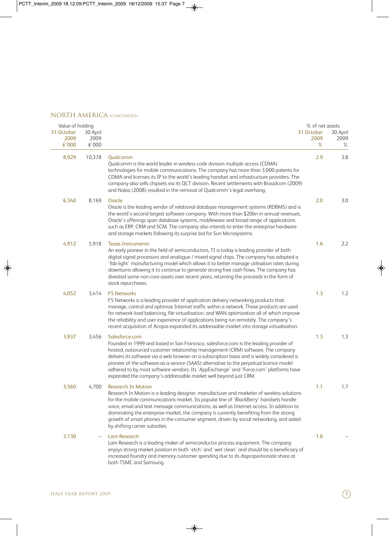### NORTH AMERICA (CONTINUED)

| Value of holding            |                           |                                                                                                                                                                                                                                                                                                                                                                                                                                                                                                                                                | % of net assets         |                          |
|-----------------------------|---------------------------|------------------------------------------------------------------------------------------------------------------------------------------------------------------------------------------------------------------------------------------------------------------------------------------------------------------------------------------------------------------------------------------------------------------------------------------------------------------------------------------------------------------------------------------------|-------------------------|--------------------------|
| 31 October<br>2009<br>£'000 | 30 April<br>2009<br>£'000 |                                                                                                                                                                                                                                                                                                                                                                                                                                                                                                                                                | 31 October<br>2009<br>% | 30 April<br>2009<br>$\%$ |
| 8,929                       | 10,378                    | Qualcomm<br>Qualcomm is the world leader in wireless code division multiple access (CDMA)<br>technologies for mobile communications. The company has more than 3,000 patents for<br>CDMA and licenses its IP to the world's leading handset and infrastructure providers. The<br>company also sells chipsets via its QCT division. Recent settlements with Broadcom (2009)<br>and Nokia (2008) resulted in the removal of Qualcomm's legal overhang.                                                                                           | 2.9                     | 3.8                      |
| 6,340                       | 8,169                     | Oracle<br>Oracle is the leading vendor of relational database management systems (RDBMS) and is<br>the world's second largest software company. With more than \$20bn in annual revenues,<br>Oracle's offerings span database systems, middleware and broad range of applications<br>such as ERP, CRM and SCM. The company also intends to enter the enterprise hardware<br>and storage markets following its surprise bid for Sun Microsystems.                                                                                               | 2.0                     | 3.0                      |
| 4,912                       | 5,918                     | <b>Texas Instruments</b><br>An early pioneer in the field of semiconductors, TI is today a leading provider of both<br>digital signal processors and analogue / mixed signal chips. The company has adopted a<br>'fab-light' manufacturing model which allows it to better manage utilisation rates during<br>downturns allowing it to continue to generate strong free cash flows. The company has<br>divested some non-core assets over recent years, returning the proceeds in the form of<br>stock repurchases.                            | 1.6                     | 2.2                      |
| 4,052                       | 3,414                     | <b>F5 Networks</b><br>F5 Networks is a leading provider of application delivery networking products that<br>manage, control and optimize Internet traffic within a network. These products are used<br>for network load balancing, file virtualisation, and WAN optimization all of which improve<br>the reliability and user experience of applications being run remotely. The company's<br>recent acquisition of Acopia expanded its addressable market into storage virtualisation.                                                        | 1.3                     | 1.2                      |
| 3,937                       | 3,456                     | Salesforce.com<br>Founded in 1999 and based in San Francisco, salesforce.com is the leading provider of<br>hosted, outsourced customer relationship management (CRM) software. The company<br>delivers its software via a web browser on a subscription basis and is widely considered a<br>pioneer of the software-as-a-service (SAAS) alternative to the perpetual licence model<br>adhered to by most software vendors. Its 'AppExchange' and 'Force.com' platforms have<br>expanded the company's addressable market well beyond just CRM. | 1.3                     | 1.3                      |
| 3,560                       | 4.700                     | Research In Motion<br>Research In Motion is a leading designer, manufacturer and marketer of wireless solutions<br>for the mobile communications market. Its popular line of 'BlackBerry' handsets handle<br>voice, email and text message communications, as well as Internet access. In addition to<br>dominating the enterprise market, the company is currently benefiting from the strong<br>growth of smart phones in the consumer segment, driven by social networking, and aided<br>by shifting carrier subsidies.                     | 1.1                     | 1.7                      |
| 3,130                       |                           | <b>Lam Research</b><br>Lam Research is a leading maker of semiconductor process equipment. The company<br>enjoys strong market position in both 'etch' and 'wet clean' and should be a beneficiary of<br>increased foundry and memory customer spending due to its disproportionate share at<br>both TSMC and Samsung.                                                                                                                                                                                                                         | 1.0                     |                          |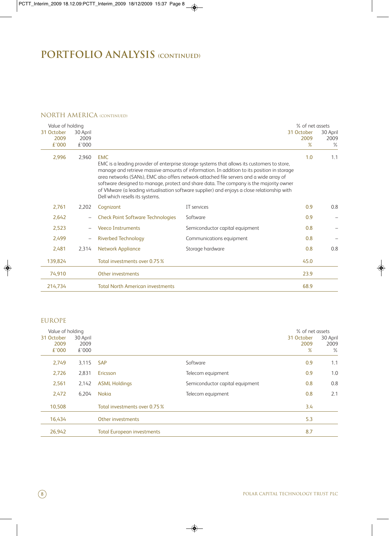# **PORTFOLIO ANALYSIS (continued)**

### NORTH AMERICA (Continued)

| Value of holding            |                           |                                               |                                                                                                                                                                                                                                                                                                                                                                                                                                                                               | % of net assets            |                          |
|-----------------------------|---------------------------|-----------------------------------------------|-------------------------------------------------------------------------------------------------------------------------------------------------------------------------------------------------------------------------------------------------------------------------------------------------------------------------------------------------------------------------------------------------------------------------------------------------------------------------------|----------------------------|--------------------------|
| 31 October<br>2009<br>£'000 | 30 April<br>2009<br>£'000 |                                               |                                                                                                                                                                                                                                                                                                                                                                                                                                                                               | 31 October<br>2009<br>$\%$ | 30 April<br>2009<br>$\%$ |
| 2,996                       | 2,960                     | <b>EMC</b><br>Dell which resells its systems. | EMC is a leading provider of enterprise storage systems that allows its customers to store,<br>manage and retrieve massive amounts of information. In addition to its position in storage<br>area networks (SANs), EMC also offers network-attached file servers and a wide array of<br>software designed to manage, protect and share data. The company is the majority owner<br>of VMware (a leading virtualisation software supplier) and enjoys a close relationship with | 1.0                        | 1.1                      |
| 2,761                       | 2,202                     | Cognizant                                     | IT services                                                                                                                                                                                                                                                                                                                                                                                                                                                                   | 0.9                        | 0.8                      |
| 2,642                       |                           | <b>Check Point Software Technologies</b>      | Software                                                                                                                                                                                                                                                                                                                                                                                                                                                                      | 0.9                        |                          |
| 2,523                       |                           | <b>Veeco Instruments</b>                      | Semiconductor capital equipment                                                                                                                                                                                                                                                                                                                                                                                                                                               | 0.8                        |                          |
| 2,499                       |                           | <b>Riverbed Technology</b>                    | Communications equipment                                                                                                                                                                                                                                                                                                                                                                                                                                                      | 0.8                        |                          |
| 2,481                       | 2,314                     | <b>Network Appliance</b>                      | Storage hardware                                                                                                                                                                                                                                                                                                                                                                                                                                                              | 0.8                        | 0.8                      |
| 139,824                     |                           | Total investments over 0.75 %                 |                                                                                                                                                                                                                                                                                                                                                                                                                                                                               | 45.0                       |                          |
| 74,910                      |                           | Other investments                             |                                                                                                                                                                                                                                                                                                                                                                                                                                                                               | 23.9                       |                          |
| 214,734                     |                           | <b>Total North American investments</b>       |                                                                                                                                                                                                                                                                                                                                                                                                                                                                               | 68.9                       |                          |

## EUROPE

| Value of holding<br>31 October<br>2009<br>£'000 | 30 April<br>2009<br>£'000 |                                   |                                 | % of net assets<br>31 October<br>2009<br>% | 30 April<br>2009<br>$\%$ |
|-------------------------------------------------|---------------------------|-----------------------------------|---------------------------------|--------------------------------------------|--------------------------|
| 2,749                                           | 3,115                     | <b>SAP</b>                        | Software                        | 0.9                                        | 1.1                      |
| 2,726                                           | 2,831                     | Ericsson                          | Telecom equipment               | 0.9                                        | 1.0                      |
| 2,561                                           | 2,142                     | <b>ASML Holdings</b>              | Semiconductor capital equipment | 0.8                                        | 0.8                      |
| 2,472                                           | 6.204                     | <b>Nokia</b>                      | Telecom equipment               | 0.8                                        | 2.1                      |
| 10,508                                          |                           | Total investments over 0.75 %     |                                 | 3.4                                        |                          |
| 16,434                                          |                           | Other investments                 |                                 | 5.3                                        |                          |
| 26,942                                          |                           | <b>Total European investments</b> |                                 | 8.7                                        |                          |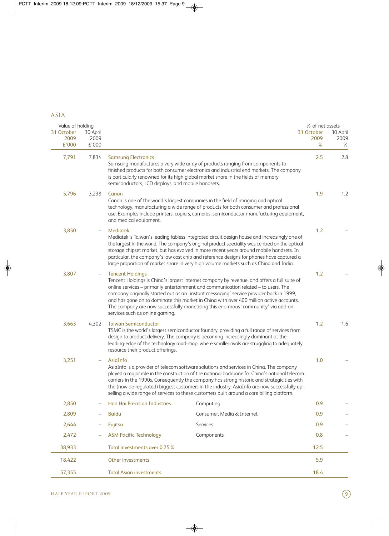# ASIA

| Value of holding            |                           |                                                                                  |                                                                                                                                                                                                                                                                                                                                                                                                                                                                                     | % of net assets         |                       |
|-----------------------------|---------------------------|----------------------------------------------------------------------------------|-------------------------------------------------------------------------------------------------------------------------------------------------------------------------------------------------------------------------------------------------------------------------------------------------------------------------------------------------------------------------------------------------------------------------------------------------------------------------------------|-------------------------|-----------------------|
| 31 October<br>2009<br>£'000 | 30 April<br>2009<br>£'000 |                                                                                  |                                                                                                                                                                                                                                                                                                                                                                                                                                                                                     | 31 October<br>2009<br>% | 30 April<br>2009<br>℅ |
| 7,791                       | 7,834                     | <b>Samsung Electronics</b><br>semiconductors, LCD displays, and mobile handsets. | Samsung manufactures a very wide array of products ranging from components to<br>finished products for both consumer electronics and industrial end markets. The company<br>is particularly renowned for its high global market share in the fields of memory                                                                                                                                                                                                                       | 2.5                     | 2.8                   |
| 5,796                       | 3,238                     | Canon<br>and medical equipment.                                                  | Canon is one of the world's largest companies in the field of imaging and optical<br>technology, manufacturing a wide range of products for both consumer and professional<br>use. Examples include printers, copiers, cameras, semiconductor manufacturing equipment,                                                                                                                                                                                                              | 1.9                     | 1.2                   |
| 3,850                       |                           | <b>Mediatek</b>                                                                  | Mediatek is Taiwan's leading fabless integrated circuit design house and increasingly one of<br>the largest in the world. The company's original product speciality was centred on the optical<br>storage chipset market, but has evolved in more recent years around mobile handsets. In<br>particular, the company's low cost chip and reference designs for phones have captured a<br>large proportion of market share in very high volume markets such as China and India.      | 1.2                     |                       |
| 3,807                       | $\overline{\phantom{m}}$  | <b>Tencent Holdings</b><br>services such as online gaming.                       | Tencent Holdings is China's largest internet company by revenue, and offers a full suite of<br>online services - primarily entertainment and communication related - to users. The<br>company originally started out as an 'instant messaging' service provider back in 1999,<br>and has gone on to dominate this market in China with over 400 million active accounts.<br>The company are now successfully monetising this enormous 'community' via add-on                        | 1.2                     |                       |
| 3,663                       | 4,302                     | <b>Taiwan Semiconductor</b><br>resource their product offerings.                 | TSMC is the world's largest semiconductor foundry, providing a full range of services from<br>design to product delivery. The company is becoming increasingly dominant at the<br>leading-edge of the technology road-map, where smaller rivals are struggling to adequately                                                                                                                                                                                                        | 1.2                     | 1.6                   |
| 3,251                       | $\qquad \qquad -$         | AsiaInfo                                                                         | AsiaInfo is a provider of telecom software solutions and services in China. The company<br>played a major role in the construction of the national backbone for China's national telecom<br>carriers in the 1990s. Consequently the company has strong historic and strategic ties with<br>the (now de-regulated) biggest customers in the industry. AsiaInfo are now successfully up-<br>selling a wide range of services to these customers built around a core billing platform. | 1.0                     |                       |
| 2,850                       |                           | Hon Hai Precision Industries                                                     | Computing                                                                                                                                                                                                                                                                                                                                                                                                                                                                           | 0.9                     |                       |
| 2,809                       | $\qquad \qquad -$         | <b>Baidu</b>                                                                     | Consumer, Media & Internet                                                                                                                                                                                                                                                                                                                                                                                                                                                          | 0.9                     |                       |
| 2,644                       | $\qquad \qquad -$         | Fujitsu                                                                          | Services                                                                                                                                                                                                                                                                                                                                                                                                                                                                            | 0.9                     |                       |
| 2,472                       | $\qquad \qquad -$         | <b>ASM Pacific Technology</b>                                                    | Components                                                                                                                                                                                                                                                                                                                                                                                                                                                                          | 0.8                     |                       |
| 38,933                      |                           | Total investments over 0.75 %                                                    |                                                                                                                                                                                                                                                                                                                                                                                                                                                                                     | 12.5                    |                       |
| 18,422                      |                           | Other investments                                                                |                                                                                                                                                                                                                                                                                                                                                                                                                                                                                     | 5.9                     |                       |
| 57,355                      |                           | <b>Total Asian investments</b>                                                   |                                                                                                                                                                                                                                                                                                                                                                                                                                                                                     | 18.4                    |                       |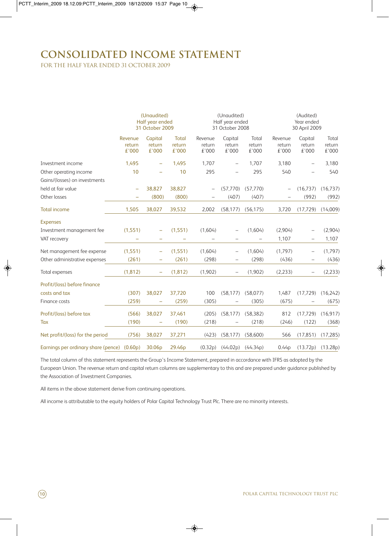# **Consolidated income statement**

for the half year ended 31 october 2009

|                                             | (Unaudited)<br>Half year ended<br>31 October 2009 |                            |                                 |                            | (Unaudited)<br>Half year ended<br>31 October 2008 |                          |                            | (Audited)<br>Year ended<br>30 April 2009 |                          |  |
|---------------------------------------------|---------------------------------------------------|----------------------------|---------------------------------|----------------------------|---------------------------------------------------|--------------------------|----------------------------|------------------------------------------|--------------------------|--|
|                                             | Revenue<br>return<br>£'000                        | Capital<br>return<br>€'000 | <b>Total</b><br>return<br>£'000 | Revenue<br>return<br>£'000 | Capital<br>return<br>£'000                        | Total<br>return<br>£'000 | Revenue<br>return<br>£'000 | Capital<br>return<br>£'000               | Total<br>return<br>£'000 |  |
| Investment income                           | 1,495                                             | ÷                          | 1,495                           | 1,707                      |                                                   | 1,707                    | 3,180                      |                                          | 3,180                    |  |
| Other operating income                      | 10                                                |                            | 10                              | 295                        |                                                   | 295                      | 540                        |                                          | 540                      |  |
| Gains/(losses) on investments               |                                                   |                            |                                 |                            |                                                   |                          |                            |                                          |                          |  |
| held at fair value                          | $\overline{\phantom{0}}$                          | 38,827                     | 38,827                          |                            | (57, 770)                                         | (57, 770)                |                            | (16, 737)                                | (16, 737)                |  |
| Other losses                                |                                                   | (800)                      | (800)                           |                            | (407)                                             | (407)                    |                            | (992)                                    | (992)                    |  |
| <b>Total income</b>                         | 1,505                                             | 38,027                     | 39,532                          | 2,002                      | (58, 177)                                         | (56, 175)                | 3,720                      | (17, 729)                                | (14,009)                 |  |
| <b>Expenses</b>                             |                                                   |                            |                                 |                            |                                                   |                          |                            |                                          |                          |  |
| Investment management fee                   | (1,551)                                           |                            | (1,551)                         | (1,604)                    |                                                   | (1,604)                  | (2,904)                    |                                          | (2,904)                  |  |
| VAT recovery                                |                                                   |                            |                                 |                            |                                                   |                          | 1,107                      |                                          | 1,107                    |  |
| Net management fee expense                  | (1,551)                                           | -                          | (1,551)                         | (1,604)                    |                                                   | (1,604)                  | (1,797)                    |                                          | (1,797)                  |  |
| Other administrative expenses               | (261)                                             | $\overline{\phantom{m}}$   | (261)                           | (298)                      |                                                   | (298)                    | (436)                      | $\qquad \qquad -$                        | (436)                    |  |
| Total expenses                              | (1, 812)                                          | $\overline{\phantom{m}}$   | (1, 812)                        | (1,902)                    | $\overline{\phantom{0}}$                          | (1,902)                  | (2, 233)                   | $\overline{\phantom{0}}$                 | (2, 233)                 |  |
| Profit/(loss) before finance                |                                                   |                            |                                 |                            |                                                   |                          |                            |                                          |                          |  |
| costs and tax                               | (307)                                             | 38,027                     | 37,720                          | 100                        | (58, 177)                                         | (58,077)                 | 1,487                      | (17, 729)                                | (16,242)                 |  |
| Finance costs                               | (259)                                             | ÷                          | (259)                           | (305)                      |                                                   | (305)                    | (675)                      |                                          | (675)                    |  |
| Profit/(loss) before tax                    | (566)                                             | 38,027                     | 37,461                          | (205)                      | (58, 177)                                         | (58, 382)                | 812                        | (17, 729)                                | (16, 917)                |  |
| Tax                                         | (190)                                             |                            | (190)                           | (218)                      |                                                   | (218)                    | (246)                      | (122)                                    | (368)                    |  |
| Net profit/(loss) for the period            | (756)                                             | 38,027                     | 37,271                          | (423)                      | (58, 177)                                         | (58,600)                 | 566                        | (17, 851)                                | (17, 285)                |  |
| Earnings per ordinary share (pence) (0.60p) |                                                   | 30.06p                     | 29.46 <sub>p</sub>              | (0.32p)                    | (44.02p)                                          | (44.34p)                 | 0.44 <sub>p</sub>          | (13.72p)                                 | (13.28p)                 |  |

The total column of this statement represents the Group's Income Statement, prepared in accordance with IFRS as adopted by the European Union. The revenue return and capital return columns are supplementary to this and are prepared under guidance published by the Association of Investment Companies.

All items in the above statement derive from continuing operations.

All income is attributable to the equity holders of Polar Capital Technology Trust Plc. There are no minority interests.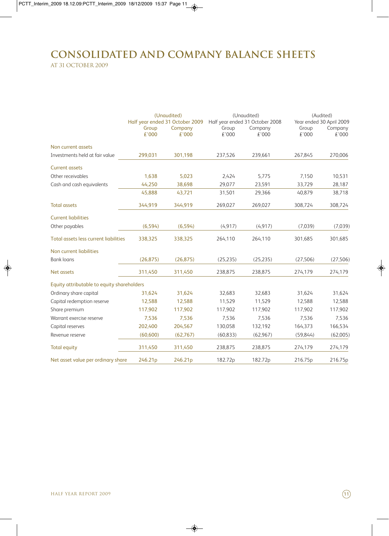# **Consolidated and company balance sheets** at 31 october 2009

|                                            |                | (Unaudited)                     |                | (Unaudited)                     | (Audited)      |                          |  |
|--------------------------------------------|----------------|---------------------------------|----------------|---------------------------------|----------------|--------------------------|--|
|                                            |                | Half year ended 31 October 2009 |                | Half year ended 31 October 2008 |                | Year ended 30 April 2009 |  |
|                                            | Group<br>£'000 | Company<br>£'000                | Group<br>£'000 | Company<br>£'000                | Group<br>£'000 | Company<br>€'000         |  |
| Non current assets                         |                |                                 |                |                                 |                |                          |  |
| Investments held at fair value             | 299,031        | 301,198                         | 237,526        | 239,661                         | 267,845        | 270,006                  |  |
| <b>Current assets</b>                      |                |                                 |                |                                 |                |                          |  |
| Other receivables                          | 1,638          | 5,023                           | 2,424          | 5,775                           | 7,150          | 10,531                   |  |
| Cash and cash equivalents                  | 44,250         | 38,698                          | 29,077         | 23,591                          | 33,729         | 28,187                   |  |
|                                            | 45,888         | 43,721                          | 31,501         | 29,366                          | 40,879         | 38,718                   |  |
| <b>Total assets</b>                        | 344,919        | 344,919                         | 269,027        | 269,027                         | 308,724        | 308,724                  |  |
| <b>Current liabilities</b>                 |                |                                 |                |                                 |                |                          |  |
| Other payables                             | (6, 594)       | (6, 594)                        | (4, 917)       | (4, 917)                        | (7,039)        | (7,039)                  |  |
| Total assets less current liabilities      | 338,325        | 338,325                         | 264,110        | 264,110                         | 301,685        | 301,685                  |  |
| Non current liabilities                    |                |                                 |                |                                 |                |                          |  |
| <b>Bank loans</b>                          | (26, 875)      | (26, 875)                       | (25, 235)      | (25, 235)                       | (27, 506)      | (27, 506)                |  |
| Net assets                                 | 311,450        | 311,450                         | 238,875        | 238,875                         | 274,179        | 274,179                  |  |
| Equity attributable to equity shareholders |                |                                 |                |                                 |                |                          |  |
| Ordinary share capital                     | 31,624         | 31,624                          | 32,683         | 32,683                          | 31,624         | 31,624                   |  |
| Capital redemption reserve                 | 12,588         | 12,588                          | 11,529         | 11,529                          | 12,588         | 12,588                   |  |
| Share premium                              | 117,902        | 117,902                         | 117,902        | 117,902                         | 117,902        | 117,902                  |  |
| Warrant exercise reserve                   | 7,536          | 7,536                           | 7,536          | 7,536                           | 7,536          | 7,536                    |  |
| Capital reserves                           | 202,400        | 204,567                         | 130,058        | 132,192                         | 164,373        | 166,534                  |  |
| Revenue reserve                            | (60, 600)      | (62,767)                        | (60, 833)      | (62, 967)                       | (59, 844)      | (62,005)                 |  |
| <b>Total equity</b>                        | 311,450        | 311,450                         | 238,875        | 238,875                         | 274,179        | 274,179                  |  |
| Net asset value per ordinary share         | 246.21p        | 246.21p                         | 182.72p        | 182.72p                         | 216.75p        | 216.75p                  |  |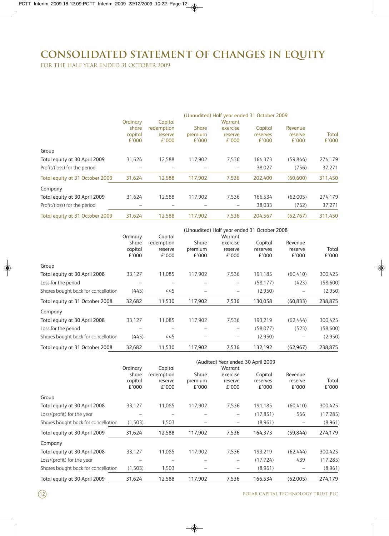# **Consolidated Statement of changes in equity**

for the half year ended 31 october 2009

|                                 |                           |                                |                                  |                              | (Unaudited) Half year ended 31 October 2009 |                             |                |  |
|---------------------------------|---------------------------|--------------------------------|----------------------------------|------------------------------|---------------------------------------------|-----------------------------|----------------|--|
|                                 | Ordinary                  | Capital                        |                                  | Warrant                      |                                             |                             |                |  |
|                                 | share<br>capital<br>£'000 | redemption<br>reserve<br>£'000 | <b>Share</b><br>premium<br>£'000 | exercise<br>reserve<br>£'000 | Capital<br>reserves<br>£'000                | Revenue<br>reserve<br>£'000 | Total<br>£'000 |  |
| Group                           |                           |                                |                                  |                              |                                             |                             |                |  |
| Total equity at 30 April 2009   | 31.624                    | 12.588                         | 117.902                          | 7.536                        | 164.373                                     | (59.844)                    | 274,179        |  |
| Profit/(loss) for the period    |                           |                                |                                  |                              | 38,027                                      | (756)                       | 37,271         |  |
| Total equity at 31 October 2009 | 31,624                    | 12.588                         | 117,902                          | 7,536                        | 202,400                                     | (60, 600)                   | 311,450        |  |
| Company                         |                           |                                |                                  |                              |                                             |                             |                |  |
| Total equity at 30 April 2009   | 31.624                    | 12.588                         | 117.902                          | 7,536                        | 166.534                                     | (62,005)                    | 274,179        |  |
| Profit/(loss) for the period    |                           |                                |                                  |                              | 38,033                                      | (762)                       | 37,271         |  |
| Total equity at 31 October 2009 | 31,624                    | 12.588                         | 117.902                          | 7.536                        | 204.567                                     | (62.767)                    | 311.450        |  |

|                                     | (Unaudited) Half year ended 31 October 2008 |                                           |                           |                                         |                              |                             |                |
|-------------------------------------|---------------------------------------------|-------------------------------------------|---------------------------|-----------------------------------------|------------------------------|-----------------------------|----------------|
|                                     | Ordinary<br>share<br>capital<br>£'000       | Capital<br>redemption<br>reserve<br>£'000 | Share<br>premium<br>£'000 | Warrant<br>exercise<br>reserve<br>£'000 | Capital<br>reserves<br>£'000 | Revenue<br>reserve<br>£'000 | Total<br>£'000 |
| Group                               |                                             |                                           |                           |                                         |                              |                             |                |
| Total equity at 30 April 2008       | 33,127                                      | 11,085                                    | 117,902                   | 7,536                                   | 191,185                      | (60, 410)                   | 300,425        |
| Loss for the period                 |                                             |                                           |                           | -                                       | (58, 177)                    | (423)                       | (58,600)       |
| Shares bought back for cancellation | (445)                                       | 445                                       |                           |                                         | (2,950)                      |                             | (2,950)        |
| Total equity at 31 October 2008     | 32,682                                      | 11,530                                    | 117,902                   | 7,536                                   | 130,058                      | (60, 833)                   | 238,875        |
| Company                             |                                             |                                           |                           |                                         |                              |                             |                |
| Total equity at 30 April 2008       | 33,127                                      | 11,085                                    | 117.902                   | 7,536                                   | 193.219                      | (62,444)                    | 300,425        |
| Loss for the period                 |                                             |                                           |                           | -                                       | (58,077)                     | (523)                       | (58,600)       |
| Shares bought back for cancellation | (445)                                       | 445                                       |                           |                                         | (2,950)                      |                             | (2,950)        |
| Total equity at 31 October 2008     | 32,682                                      | 11,530                                    | 117,902                   | 7,536                                   | 132,192                      | (62, 967)                   | 238,875        |

|                                     | (Audited) Year ended 30 April 2009 |            |                  |                  |                   |                  |                |
|-------------------------------------|------------------------------------|------------|------------------|------------------|-------------------|------------------|----------------|
|                                     | Ordinary<br>Warrant<br>Capital     |            |                  |                  |                   |                  |                |
|                                     | share                              | redemption | Share            | exercise         | Capital           | Revenue          |                |
|                                     | capital<br>£'000                   | reserve    | premium<br>£'000 | reserve<br>£'000 | reserves<br>£'000 | reserve<br>£'000 | Total<br>£'000 |
|                                     |                                    | £'000      |                  |                  |                   |                  |                |
| Group                               |                                    |            |                  |                  |                   |                  |                |
| Total equity at 30 April 2008       | 33,127                             | 11.085     | 117.902          | 7,536            | 191.185           | (60, 410)        | 300,425        |
| Loss/(profit) for the year          |                                    |            |                  |                  | (17, 851)         | 566              | (17, 285)      |
| Shares bought back for cancellation | (1,503)                            | 1,503      |                  |                  | (8,961)           |                  | (8,961)        |
| Total equity at 30 April 2009       | 31,624                             | 12,588     | 117,902          | 7,536            | 164,373           | (59, 844)        | 274,179        |
| Company                             |                                    |            |                  |                  |                   |                  |                |
| Total equity at 30 April 2008       | 33,127                             | 11,085     | 117,902          | 7,536            | 193,219           | (62,444)         | 300,425        |
| Loss/(profit) for the year          |                                    |            |                  | -                | (17, 724)         | 439              | (17, 285)      |
| Shares bought back for cancellation | (1,503)                            | 1,503      |                  |                  | (8,961)           |                  | (8,961)        |
| Total equity at 30 April 2009       | 31,624                             | 12,588     | 117,902          | 7,536            | 166.534           | (62.005)         | 274,179        |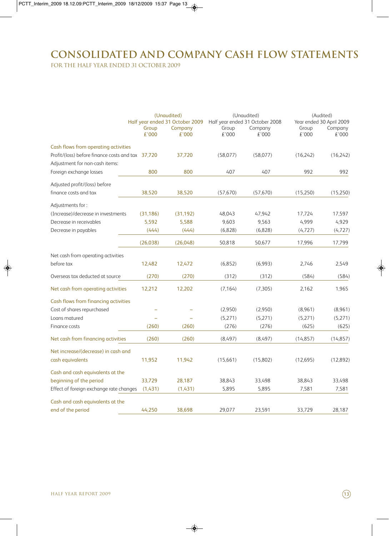# **Consolidated and company Cash Flow Statements**

for the half year ended 31 october 2009

|                                                   | (Unaudited)<br>Half year ended 31 October 2009 |                  | (Unaudited)<br>Half year ended 31 October 2008 |                  | (Audited)<br>Year ended 30 April 2009 |                  |
|---------------------------------------------------|------------------------------------------------|------------------|------------------------------------------------|------------------|---------------------------------------|------------------|
|                                                   | Group<br>£'000                                 | Company<br>£'000 | Group<br>£'000                                 | Company<br>£'000 | Group<br>£'000                        | Company<br>£'000 |
| Cash flows from operating activities              |                                                |                  |                                                |                  |                                       |                  |
| Profit/(loss) before finance costs and tax 37,720 |                                                | 37,720           | (58,077)                                       | (58,077)         | (16,242)                              | (16,242)         |
| Adjustment for non-cash items:                    |                                                |                  |                                                |                  |                                       |                  |
| Foreign exchange losses                           | 800                                            | 800              | 407                                            | 407              | 992                                   | 992              |
| Adjusted profit/(loss) before                     |                                                |                  |                                                |                  |                                       |                  |
| finance costs and tax                             | 38,520                                         | 38,520           | (57, 670)                                      | (57, 670)        | (15,250)                              | (15,250)         |
| Adjustments for:                                  |                                                |                  |                                                |                  |                                       |                  |
| (Increase)/decrease in investments                | (31, 186)                                      | (31, 192)        | 48,043                                         | 47,942           | 17,724                                | 17,597           |
| Decrease in receivables                           | 5.592                                          | 5,588            | 9,603                                          | 9,563            | 4,999                                 | 4,929            |
| Decrease in payables                              | (444)                                          | (444)            | (6,828)                                        | (6,828)          | (4, 727)                              | (4, 727)         |
|                                                   | (26, 038)                                      | (26,048)         | 50,818                                         | 50,677           | 17,996                                | 17,799           |
| Net cash from operating activities                |                                                |                  |                                                |                  |                                       |                  |
| before tax                                        | 12,482                                         | 12,472           | (6,852)                                        | (6,993)          | 2,746                                 | 2,549            |
| Overseas tax deducted at source                   | (270)                                          | (270)            | (312)                                          | (312)            | (584)                                 | (584)            |
| Net cash from operating activities                | 12,212                                         | 12,202           | (7, 164)                                       | (7,305)          | 2,162                                 | 1,965            |
| Cash flows from financing activities              |                                                |                  |                                                |                  |                                       |                  |
| Cost of shares repurchased                        |                                                |                  | (2,950)                                        | (2,950)          | (8,961)                               | (8,961)          |
| Loans matured                                     |                                                |                  | (5,271)                                        | (5,271)          | (5,271)                               | (5,271)          |
| Finance costs                                     | (260)                                          | (260)            | (276)                                          | (276)            | (625)                                 | (625)            |
| Net cash from financing activities                | (260)                                          | (260)            | (8,497)                                        | (8,497)          | (14, 857)                             | (14, 857)        |
| Net increase/(decrease) in cash and               |                                                |                  |                                                |                  |                                       |                  |
| cash equivalents                                  | 11,952                                         | 11,942           | (15,661)                                       | (15,802)         | (12,695)                              | (12,892)         |
| Cash and cash equivalents at the                  |                                                |                  |                                                |                  |                                       |                  |
| beginning of the period                           | 33,729                                         | 28,187           | 38,843                                         | 33,498           | 38,843                                | 33,498           |
| Effect of foreign exchange rate changes           | (1,431)                                        | (1,431)          | 5,895                                          | 5,895            | 7,581                                 | 7,581            |
| Cash and cash equivalents at the                  |                                                |                  |                                                |                  |                                       |                  |
| end of the period                                 | 44.250                                         | 38.698           | 29,077                                         | 23,591           | 33,729                                | 28,187           |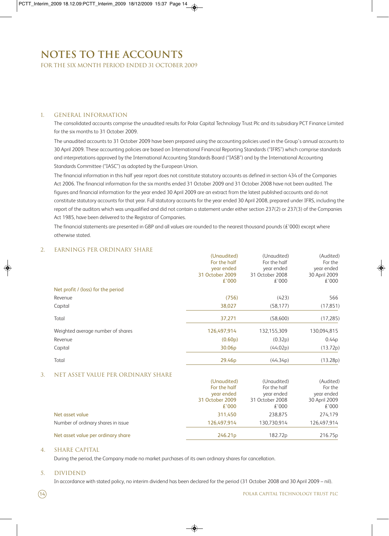# **Notes to the Accounts**

for the six month period ended 31 october 2009

#### 1. General Information

The consolidated accounts comprise the unaudited results for Polar Capital Technology Trust Plc and its subsidiary PCT Finance Limited for the six months to 31 October 2009.

The unaudited accounts to 31 October 2009 have been prepared using the accounting policies used in the Group's annual accounts to 30 April 2009. These accounting policies are based on International Financial Reporting Standards ("IFRS") which comprise standards and interpretations approved by the International Accounting Standards Board ("IASB") and by the International Accounting Standards Committee ("IASC") as adopted by the European Union.

The financial information in this half year report does not constitute statutory accounts as defined in section 434 of the Companies Act 2006. The financial information for the six months ended 31 October 2009 and 31 October 2008 have not been audited. The figures and financial information for the year ended 30 April 2009 are an extract from the latest published accounts and do not constitute statutory accounts for that year. Full statutory accounts for the year ended 30 April 2008, prepared under IFRS, including the report of the auditors which was unqualified and did not contain a statement under either section 237(2) or 237(3) of the Companies Act 1985, have been delivered to the Registrar of Companies.

The financial statements are presented in GBP and all values are rounded to the nearest thousand pounds ( $\pm$ '000) except where otherwise stated.

### 2. Earnings per ordinary share

|                                    | (Unaudited)        | (Unaudited)     | (Audited)     |
|------------------------------------|--------------------|-----------------|---------------|
|                                    | For the half       | For the half    | For the       |
|                                    | year ended         | year ended      | year ended    |
|                                    | 31 October 2009    | 31 October 2008 | 30 April 2009 |
|                                    | £'000              | £'000           | £'000         |
| Net profit / (loss) for the period |                    |                 |               |
| Revenue                            | (756)              | (423)           | 566           |
| Capital                            | 38,027             | (58, 177)       | (17, 851)     |
| Total                              | 37,271             | (58,600)        | (17, 285)     |
| Weighted average number of shares  | 126,497,914        | 132,155,309     | 130,094,815   |
| Revenue                            | (0.60p)            | (0.32p)         | 0.44p         |
| Capital                            | 30.06 <sub>p</sub> | (44.02p)        | (13.72p)      |
| Total                              | 29.46 <sub>p</sub> | (44.34p)        | (13.28p)      |

### 3. Net asset value per ordinary share

|                                    | (Unaudited)         | (Unaudited)     | (Audited)     |
|------------------------------------|---------------------|-----------------|---------------|
|                                    | For the half        | For the half    | For the       |
|                                    | year ended          | year ended      | year ended    |
|                                    | 31 October 2009     | 31 October 2008 | 30 April 2009 |
|                                    | £'000               | £'000           | £'000         |
| Net asset value                    | 311.450             | 238.875         | 274,179       |
| Number of ordinary shares in issue | 126.497.914         | 130.730.914     | 126,497,914   |
| Net asset value per ordinary share | 246.21 <sub>p</sub> | 182.72p         | 216.75p       |

### 4. Share capital

During the period, the Company made no market purchases of its own ordinary shares for cancellation.

#### 5. Dividend

In accordance with stated policy, no interim dividend has been declared for the period (31 October 2008 and 30 April 2009 – nil).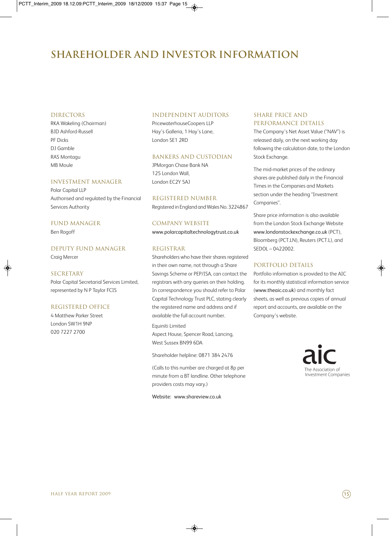# **shareholder and investor information**

#### **DIRECTORS**

RKA Wakeling (Chairman) BJD Ashford-Russell PF Dicks DJ Gamble RAS Montagu MB Moule

#### Investment Manager

Polar Capital LLP Authorised and regulated by the Financial Services Authority

### Fund Manager

Ben Rogoff

### Deputy Fund Manager

Craig Mercer

#### SECRETARY

Polar Capital Secretarial Services Limited, represented by N P Taylor FCIS

#### Registered Office

4 Matthew Parker Street London SW1H 9NP 020 7227 2700

#### independent Auditors

PricewaterhouseCoopers LLP Hay's Galleria, 1 Hay's Lane, London SE1 2RD

### Bankers and Custodian

JPMorgan Chase Bank NA 125 London Wall, London EC2Y 5AJ

# Registered Number

Registered in England and Wales No. 3224867

Company Website www.polarcapitaltechnologytrust.co.uk

#### Registrar

Shareholders who have their shares registered in their own name, not through a Share Savings Scheme or PEP/ISA, can contact the registrars with any queries on their holding. In correspondence you should refer to Polar Capital Technology Trust PLC, stating clearly the registered name and address and if available the full account number.

Equiniti Limited Aspect House, Spencer Road, Lancing, West Sussex BN99 6DA

Shareholder helpline: 0871 384 2476

(Calls to this number are charged at 8p per minute from a BT landline. Other telephone providers costs may vary.)

Website: www.shareview.co.uk

### SHARE PRICE AND PERFORMANCE DETAILS

The Company's Net Asset Value ("NAV") is released daily, on the next working day following the calculation date, to the London Stock Exchange.

The mid-market prices of the ordinary shares are published daily in the Financial Times in the Companies and Markets section under the heading "Investment Companies".

Share price information is also available from the London Stock Exchange Website www.londonstockexchange.co.uk (PCT), Bloomberg (PCT.LN), Reuters (PCT.L), and SEDOL – 0422002.

### Portfolio details

Portfolio information is provided to the AIC for its monthly statistical information service (www.theaic.co.uk) and monthly fact sheets, as well as previous copies of annual report and accounts, are available on the Company's website.

> The Association of Investment Companies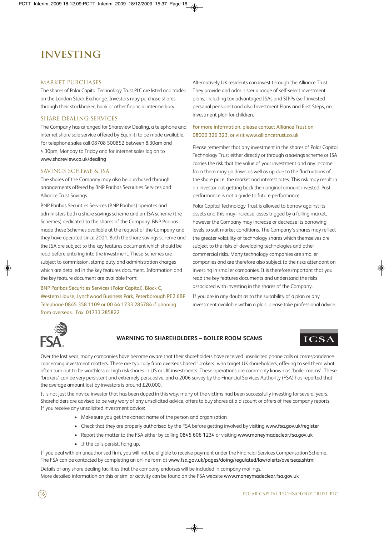# **investing**

#### MARKET PURCHASES

The shares of Polar Capital Technology Trust PLC are listed and traded on the London Stock Exchange. Investors may purchase shares through their stockbroker, bank or other financial intermediary.

### Share dealing services

The Company has arranged for Shareview Dealing, a telephone and internet share sale service offered by Equiniti to be made available. For telephone sales call 08708 500852 between 8.30am and 4.30pm, Monday to Friday and for internet sales log on to www.shareview.co.uk/dealing

### Savings scheme & ISA

The shares of the Company may also be purchased through arrangements offered by BNP Paribas Securities Services and Alliance Trust Savings.

BNP Paribas Securities Services (BNP Paribas) operates and administers both a share savings scheme and an ISA scheme (the Schemes) dedicated to the shares of the Company. BNP Paribas made these Schemes available at the request of the Company and they have operated since 2001. Both the share savings scheme and the ISA are subject to the key features document which should be read before entering into the investment. These Schemes are subject to commission, stamp duty and administration charges which are detailed in the key features document. Information and the key feature document are available from:

BNP Paribas Securities Services (Polar Capital), Block C, Western House, Lynchwood Business Park, Peterborough PE2 6BP Telephone 0845 358 1109 or 00 44 1733 285784 if phoning from overseas. Fax. 01733 285822

Alternatively UK residents can invest through the Alliance Trust. They provide and administer a range of self-select investment plans, including tax-advantaged ISAs and SIPPs (self-invested personal pensions) and also Investment Plans and First Steps, an investment plan for children.

### For more information, please contact Alliance Trust on 08000 326 323, or visit www.alliancetrust.co.uk

Please remember that any investment in the shares of Polar Capital Technology Trust either directly or through a savings scheme or ISA carries the risk that the value of your investment and any income from them may go down as well as up due to the fluctuations of the share price, the market and interest rates. This risk may result in an investor not getting back their original amount invested. Past performance is not a guide to future performance.

Polar Capital Technology Trust is allowed to borrow against its assets and this may increase losses trigged by a falling market, however the Company may increase or decrease its borrowing levels to suit market conditions. The Company's shares may reflect the greater volatility of technology shares which themselves are subject to the risks of developing technologies and other commercial risks. Many technology companies are smaller companies and are therefore also subject to the risks attendant on investing in smaller companies. It is therefore important that you read the key features documents and understand the risks associated with investing in the shares of the Company.

If you are in any doubt as to the suitability of a plan or any investment available within a plan, please take professional advice.



### **WARNING TO SHAREHOLDERS – BOILER ROOM SCAMS**

# **ICSA**

Over the last year, many companies have become aware that their shareholders have received unsolicited phone calls or correspondence concerning investment matters. These are typically from overseas based 'brokers' who target UK shareholders, offering to sell them what often turn out to be worthless or high risk shares in US or UK investments. These operations are commonly known as 'boiler rooms'. These 'brokers' can be very persistent and extremely persuasive, and a 2006 survey by the Financial Services Authority (FSA) has reported that the average amount lost by investors is around £20,000.

It is not just the novice investor that has been duped in this way; many of the victims had been successfully investing for several years. Shareholders are advised to be very wary of any unsolicited advice, offers to buy shares at a discount or offers of free company reports. If you receive any unsolicited investment advice:

- Make sure you get the correct name of the person and organisation
- Check that they are properly authorised by the FSA before getting involved by visiting www.fsa.gov.uk/register
- Report the matter to the FSA either by calling 0845 606 1234 or visiting www.moneymadeclear.fsa.gov.uk
- If the calls persist, hang up.

If you deal with an unauthorised firm, you will not be eligible to receive payment under the Financial Services Compensation Scheme. The FSA can be contacted by completing an online form at www.fsa.gov.uk/pages/doing/regulated/law/alerts/overseas.shtml

Details of any share dealing facilities that the company endorses will be included in company mailings. More detailed information on this or similar activity can be found on the FSA website www.moneymadeclear.fsa.gov.uk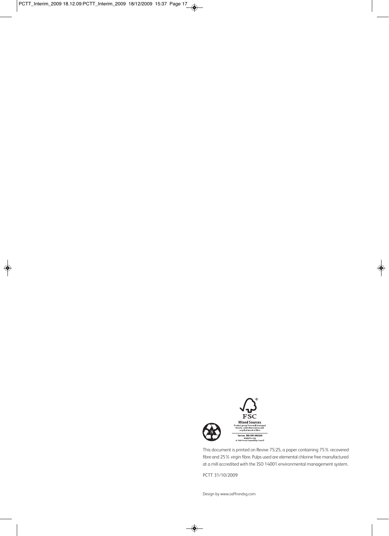

This document is printed on Revive 75:25, a paper containing 75% recovered fibre and 25% virgin fibre. Pulps used are elemental chlorine free manufactured at a mill accredited with the ISO 14001 environmental management system.

PCTT 31/10/2009